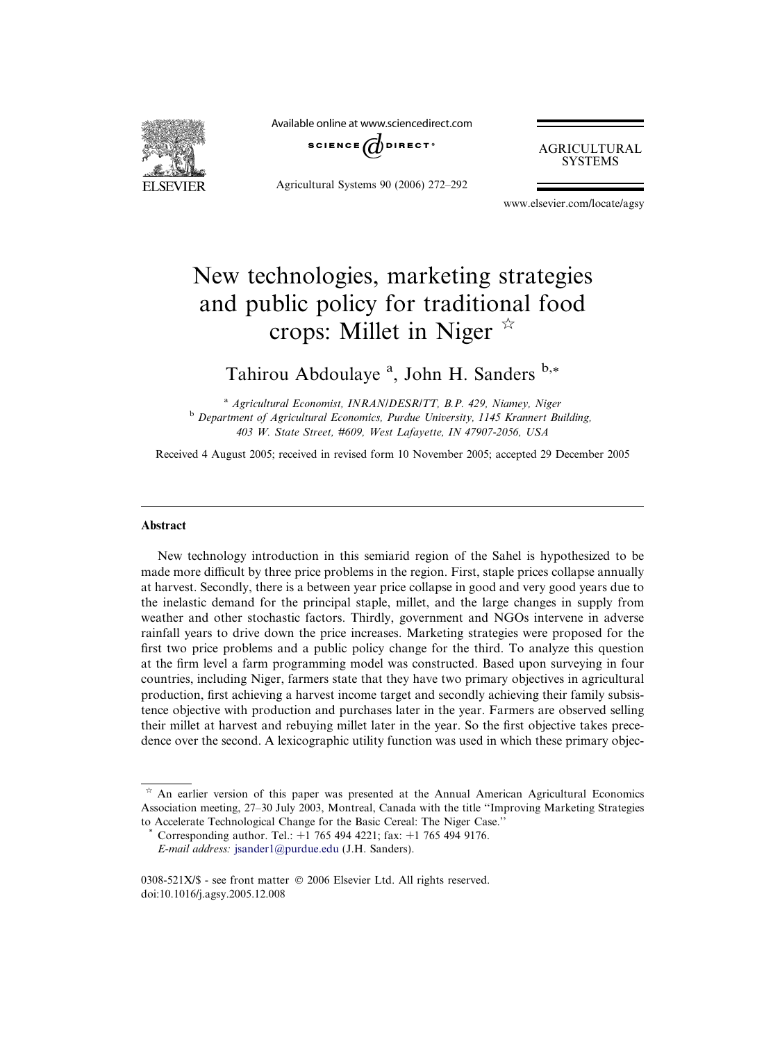

Available online at www.sciencedirect.com



Agricultural Systems 90 (2006) 272–292

AGRICULTURAL **SYSTEMS** 

www.elsevier.com/locate/agsy

## New technologies, marketing strategies and public policy for traditional food crops: Millet in Niger  $\overrightarrow{x}$

Tahirou Abdoulaye<sup>a</sup>, John H. Sanders b,\*

<sup>a</sup> Agricultural Economist, INRAN/DESR/TT, B.P. 429, Niamey, Niger <sup>b</sup> Department of Agricultural Economics, Purdue University, 1145 Krannert Building, 403 W. State Street, #609, West Lafayette, IN 47907-2056, USA

Received 4 August 2005; received in revised form 10 November 2005; accepted 29 December 2005

## Abstract

New technology introduction in this semiarid region of the Sahel is hypothesized to be made more difficult by three price problems in the region. First, staple prices collapse annually at harvest. Secondly, there is a between year price collapse in good and very good years due to the inelastic demand for the principal staple, millet, and the large changes in supply from weather and other stochastic factors. Thirdly, government and NGOs intervene in adverse rainfall years to drive down the price increases. Marketing strategies were proposed for the first two price problems and a public policy change for the third. To analyze this question at the firm level a farm programming model was constructed. Based upon surveying in four countries, including Niger, farmers state that they have two primary objectives in agricultural production, first achieving a harvest income target and secondly achieving their family subsistence objective with production and purchases later in the year. Farmers are observed selling their millet at harvest and rebuying millet later in the year. So the first objective takes precedence over the second. A lexicographic utility function was used in which these primary objec-

 $*$  An earlier version of this paper was presented at the Annual American Agricultural Economics Association meeting, 27–30 July 2003, Montreal, Canada with the title ''Improving Marketing Strategies to Accelerate Technological Change for the Basic Cereal: The Niger Case.''

Corresponding author. Tel.: +1 765 494 4221; fax: +1 765 494 9176. E-mail address: [jsander1@purdue.edu](mailto:jsander1@purdue.edu) (J.H. Sanders).

<sup>0308-521</sup>X/\$ - see front matter © 2006 Elsevier Ltd. All rights reserved. doi:10.1016/j.agsy.2005.12.008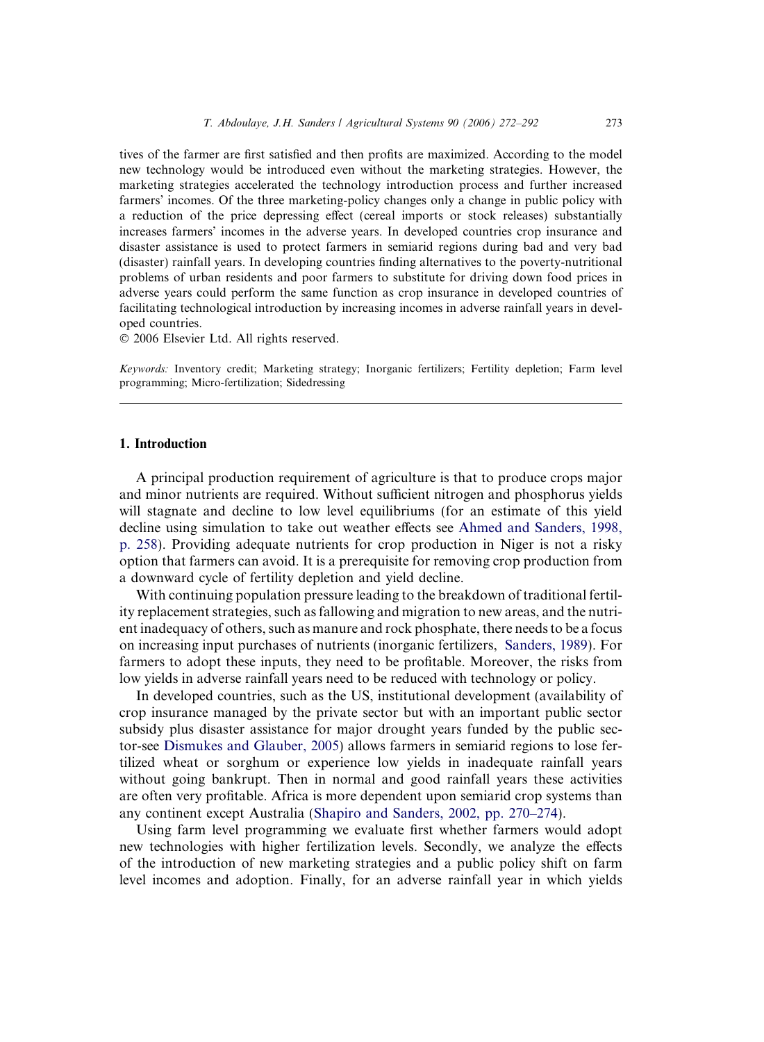tives of the farmer are first satisfied and then profits are maximized. According to the model new technology would be introduced even without the marketing strategies. However, the marketing strategies accelerated the technology introduction process and further increased farmers' incomes. Of the three marketing-policy changes only a change in public policy with a reduction of the price depressing effect (cereal imports or stock releases) substantially increases farmers' incomes in the adverse years. In developed countries crop insurance and disaster assistance is used to protect farmers in semiarid regions during bad and very bad (disaster) rainfall years. In developing countries finding alternatives to the poverty-nutritional problems of urban residents and poor farmers to substitute for driving down food prices in adverse years could perform the same function as crop insurance in developed countries of facilitating technological introduction by increasing incomes in adverse rainfall years in developed countries.

© 2006 Elsevier Ltd. All rights reserved.

Keywords: Inventory credit; Marketing strategy; Inorganic fertilizers; Fertility depletion; Farm level programming; Micro-fertilization; Sidedressing

## 1. Introduction

A principal production requirement of agriculture is that to produce crops major and minor nutrients are required. Without sufficient nitrogen and phosphorus yields will stagnate and decline to low level equilibriums (for an estimate of this yield decline using simulation to take out weather effects see [Ahmed and Sanders, 1998,](#page--1-0) [p. 258](#page--1-0)). Providing adequate nutrients for crop production in Niger is not a risky option that farmers can avoid. It is a prerequisite for removing crop production from a downward cycle of fertility depletion and yield decline.

With continuing population pressure leading to the breakdown of traditional fertility replacement strategies, such as fallowing and migration to new areas, and the nutrient inadequacy of others, such as manure and rock phosphate, there needs to be a focus on increasing input purchases of nutrients (inorganic fertilizers, [Sanders, 1989\)](#page--1-0). For farmers to adopt these inputs, they need to be profitable. Moreover, the risks from low yields in adverse rainfall years need to be reduced with technology or policy.

In developed countries, such as the US, institutional development (availability of crop insurance managed by the private sector but with an important public sector subsidy plus disaster assistance for major drought years funded by the public sector-see [Dismukes and Glauber, 2005\)](#page--1-0) allows farmers in semiarid regions to lose fertilized wheat or sorghum or experience low yields in inadequate rainfall years without going bankrupt. Then in normal and good rainfall years these activities are often very profitable. Africa is more dependent upon semiarid crop systems than any continent except Australia (Shapiro and Sanders, 2002, pp. 270–274).

Using farm level programming we evaluate first whether farmers would adopt new technologies with higher fertilization levels. Secondly, we analyze the effects of the introduction of new marketing strategies and a public policy shift on farm level incomes and adoption. Finally, for an adverse rainfall year in which yields